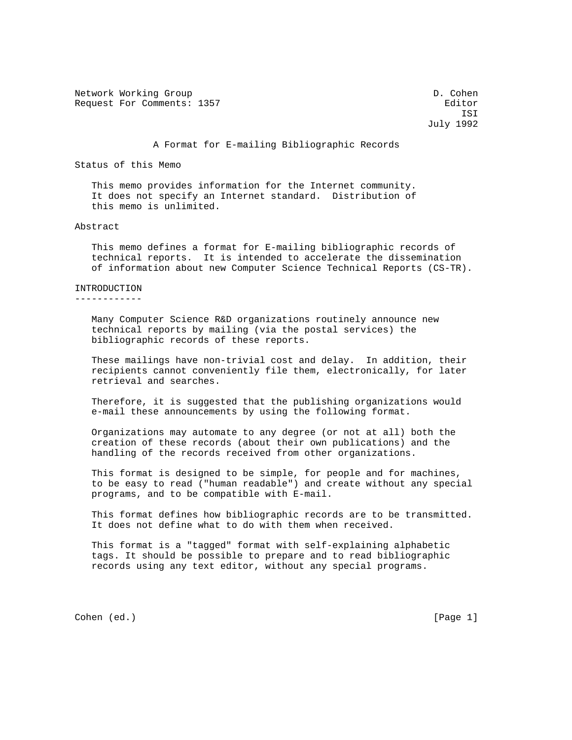Network Working Group Description of the United States of D. Cohen Request For Comments: 1357 Editor

 ISI July 1992

A Format for E-mailing Bibliographic Records

Status of this Memo

 This memo provides information for the Internet community. It does not specify an Internet standard. Distribution of this memo is unlimited.

## Abstract

 This memo defines a format for E-mailing bibliographic records of technical reports. It is intended to accelerate the dissemination of information about new Computer Science Technical Reports (CS-TR).

## INTRODUCTION

------------

 Many Computer Science R&D organizations routinely announce new technical reports by mailing (via the postal services) the bibliographic records of these reports.

 These mailings have non-trivial cost and delay. In addition, their recipients cannot conveniently file them, electronically, for later retrieval and searches.

 Therefore, it is suggested that the publishing organizations would e-mail these announcements by using the following format.

 Organizations may automate to any degree (or not at all) both the creation of these records (about their own publications) and the handling of the records received from other organizations.

 This format is designed to be simple, for people and for machines, to be easy to read ("human readable") and create without any special programs, and to be compatible with E-mail.

 This format defines how bibliographic records are to be transmitted. It does not define what to do with them when received.

 This format is a "tagged" format with self-explaining alphabetic tags. It should be possible to prepare and to read bibliographic records using any text editor, without any special programs.

Cohen (ed.) [Page 1]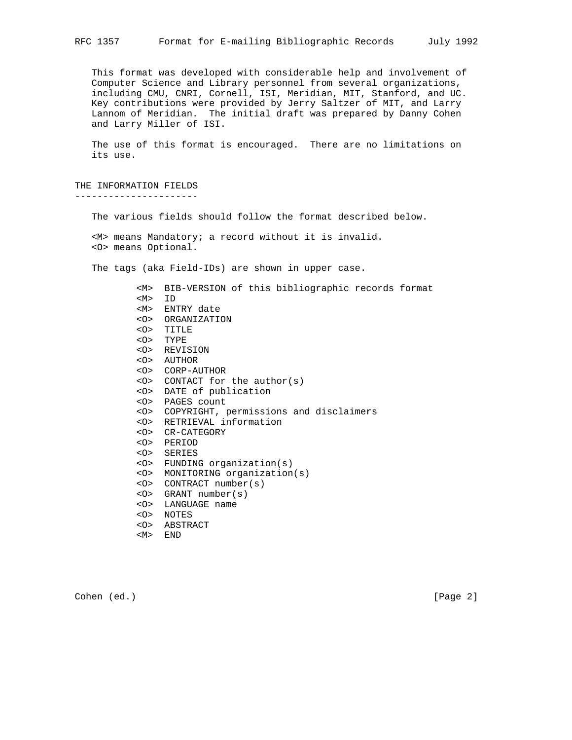This format was developed with considerable help and involvement of Computer Science and Library personnel from several organizations, including CMU, CNRI, Cornell, ISI, Meridian, MIT, Stanford, and UC. Key contributions were provided by Jerry Saltzer of MIT, and Larry Lannom of Meridian. The initial draft was prepared by Danny Cohen and Larry Miller of ISI.

 The use of this format is encouraged. There are no limitations on its use.

THE INFORMATION FIELDS ----------------------

The various fields should follow the format described below.

 <M> means Mandatory; a record without it is invalid. <O> means Optional.

The tags (aka Field-IDs) are shown in upper case.

 <M> BIB-VERSION of this bibliographic records format <M> ID <M> ENTRY date <O> ORGANIZATION <O> TITLE <O> TYPE <O> REVISION <O> AUTHOR <O> CORP-AUTHOR <O> CONTACT for the author(s) <O> DATE of publication <O> PAGES count <O> COPYRIGHT, permissions and disclaimers <O> RETRIEVAL information <O> CR-CATEGORY <O> PERIOD <O> SERIES <O> FUNDING organization(s) <O> MONITORING organization(s) <O> CONTRACT number(s) <O> GRANT number(s) <O> LANGUAGE name <O> NOTES <O> ABSTRACT <M> END

Cohen (ed.) [Page 2]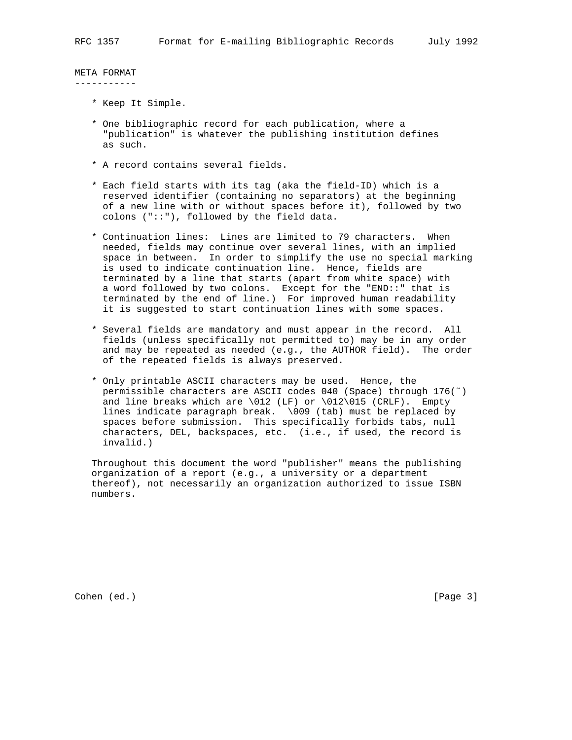META FORMAT -----------

- \* Keep It Simple.
- \* One bibliographic record for each publication, where a "publication" is whatever the publishing institution defines as such.
- \* A record contains several fields.
- \* Each field starts with its tag (aka the field-ID) which is a reserved identifier (containing no separators) at the beginning of a new line with or without spaces before it), followed by two colons ("::"), followed by the field data.
- \* Continuation lines: Lines are limited to 79 characters. When needed, fields may continue over several lines, with an implied space in between. In order to simplify the use no special marking is used to indicate continuation line. Hence, fields are terminated by a line that starts (apart from white space) with a word followed by two colons. Except for the "END::" that is terminated by the end of line.) For improved human readability it is suggested to start continuation lines with some spaces.
- \* Several fields are mandatory and must appear in the record. All fields (unless specifically not permitted to) may be in any order and may be repeated as needed (e.g., the AUTHOR field). The order of the repeated fields is always preserved.
- \* Only printable ASCII characters may be used. Hence, the permissible characters are ASCII codes 040 (Space) through 176(˜) and line breaks which are  $\012$  (LF) or  $\012\015$  (CRLF). Empty lines indicate paragraph break. \009 (tab) must be replaced by spaces before submission. This specifically forbids tabs, null characters, DEL, backspaces, etc. (i.e., if used, the record is invalid.)

 Throughout this document the word "publisher" means the publishing organization of a report (e.g., a university or a department thereof), not necessarily an organization authorized to issue ISBN numbers.

Cohen (ed.) [Page 3]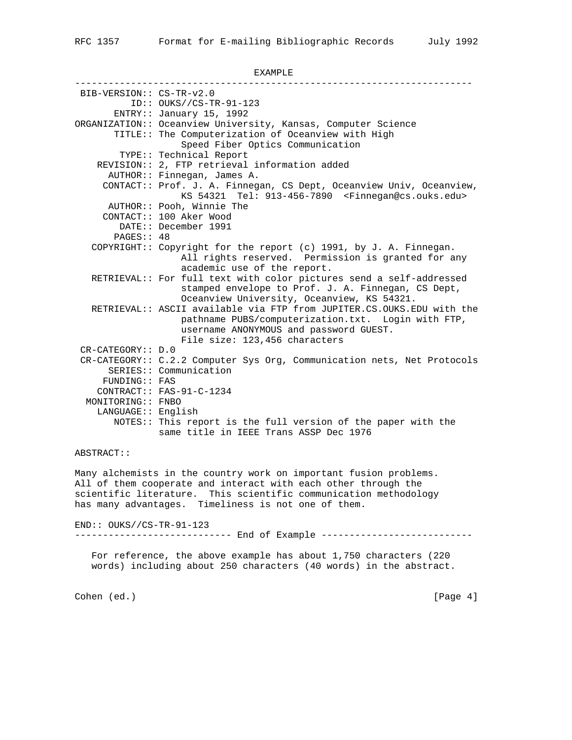## EXAMPLE

----------------------------------------------------------------------- BIB-VERSION:: CS-TR-v2.0 ID:: OUKS//CS-TR-91-123 ENTRY:: January 15, 1992 ORGANIZATION:: Oceanview University, Kansas, Computer Science TITLE:: The Computerization of Oceanview with High Speed Fiber Optics Communication TYPE:: Technical Report REVISION:: 2, FTP retrieval information added AUTHOR:: Finnegan, James A. CONTACT:: Prof. J. A. Finnegan, CS Dept, Oceanview Univ, Oceanview, KS 54321 Tel: 913-456-7890 <Finnegan@cs.ouks.edu> AUTHOR:: Pooh, Winnie The CONTACT:: 100 Aker Wood DATE:: December 1991 PAGES:: 48 COPYRIGHT:: Copyright for the report (c) 1991, by J. A. Finnegan. All rights reserved. Permission is granted for any academic use of the report. RETRIEVAL:: For full text with color pictures send a self-addressed stamped envelope to Prof. J. A. Finnegan, CS Dept, Oceanview University, Oceanview, KS 54321. RETRIEVAL:: ASCII available via FTP from JUPITER.CS.OUKS.EDU with the pathname PUBS/computerization.txt. Login with FTP, username ANONYMOUS and password GUEST. File size: 123,456 characters CR-CATEGORY:: D.0 CR-CATEGORY:: C.2.2 Computer Sys Org, Communication nets, Net Protocols SERIES:: Communication FUNDING:: FAS CONTRACT:: FAS-91-C-1234 MONITORING:: FNBO LANGUAGE:: English NOTES:: This report is the full version of the paper with the same title in IEEE Trans ASSP Dec 1976

## ABSTRACT::

Many alchemists in the country work on important fusion problems. All of them cooperate and interact with each other through the scientific literature. This scientific communication methodology has many advantages. Timeliness is not one of them.

END:: OUKS//CS-TR-91-123

---------------------------- End of Example -----------------------------

 For reference, the above example has about 1,750 characters (220 words) including about 250 characters (40 words) in the abstract.

Cohen (ed.) [Page 4]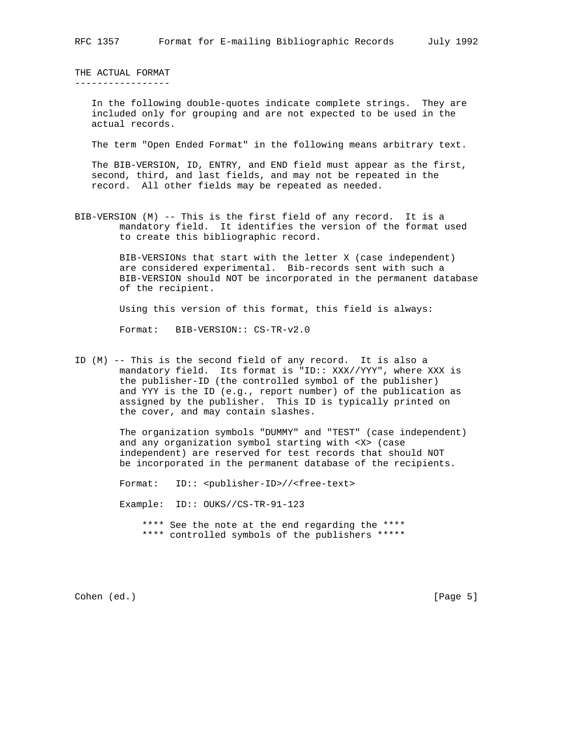THE ACTUAL FORMAT -----------------

> In the following double-quotes indicate complete strings. They are included only for grouping and are not expected to be used in the actual records.

> The term "Open Ended Format" in the following means arbitrary text.

 The BIB-VERSION, ID, ENTRY, and END field must appear as the first, second, third, and last fields, and may not be repeated in the record. All other fields may be repeated as needed.

BIB-VERSION (M) -- This is the first field of any record. It is a mandatory field. It identifies the version of the format used to create this bibliographic record.

> BIB-VERSIONs that start with the letter X (case independent) are considered experimental. Bib-records sent with such a BIB-VERSION should NOT be incorporated in the permanent database of the recipient.

Using this version of this format, this field is always:

Format: BIB-VERSION:: CS-TR-v2.0

ID (M) -- This is the second field of any record. It is also a mandatory field. Its format is "ID:: XXX//YYY", where XXX is the publisher-ID (the controlled symbol of the publisher) and YYY is the ID (e.g., report number) of the publication as assigned by the publisher. This ID is typically printed on the cover, and may contain slashes.

> The organization symbols "DUMMY" and "TEST" (case independent) and any organization symbol starting with <X> (case independent) are reserved for test records that should NOT be incorporated in the permanent database of the recipients.

Format: ID:: <publisher-ID>//<free-text>

Example: ID:: OUKS//CS-TR-91-123

 \*\*\*\* See the note at the end regarding the \*\*\*\* \*\*\*\* controlled symbols of the publishers \*\*\*\*\*

Cohen (ed.) [Page 5]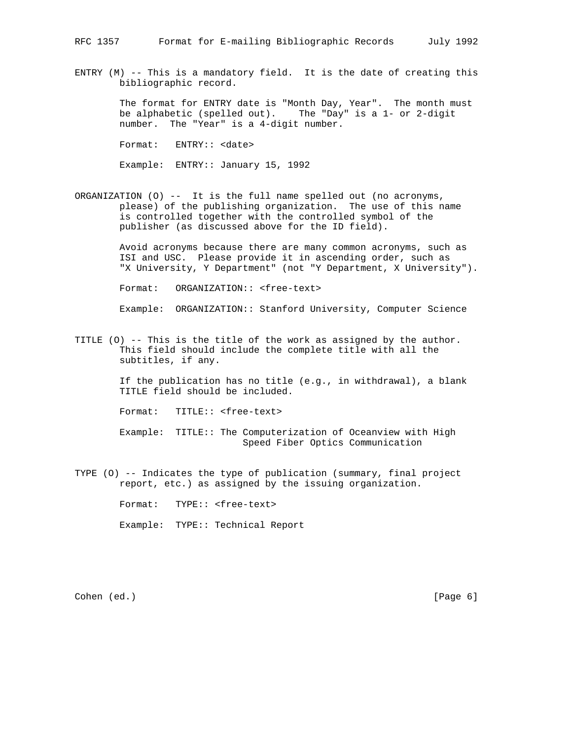ENTRY  $(M)$  -- This is a mandatory field. It is the date of creating this bibliographic record.

> The format for ENTRY date is "Month Day, Year". The month must be alphabetic (spelled out). The "Day" is a 1- or 2-digit number. The "Year" is a 4-digit number.

Format: ENTRY:: <date>

Example: ENTRY:: January 15, 1992

ORGANIZATION (O) -- It is the full name spelled out (no acronyms, please) of the publishing organization. The use of this name is controlled together with the controlled symbol of the publisher (as discussed above for the ID field).

> Avoid acronyms because there are many common acronyms, such as ISI and USC. Please provide it in ascending order, such as "X University, Y Department" (not "Y Department, X University").

Format: ORGANIZATION:: <free-text>

Example: ORGANIZATION:: Stanford University, Computer Science

TITLE (O) -- This is the title of the work as assigned by the author. This field should include the complete title with all the subtitles, if any.

> If the publication has no title (e.g., in withdrawal), a blank TITLE field should be included.

Format: TITLE:: <free-text>

 Example: TITLE:: The Computerization of Oceanview with High Speed Fiber Optics Communication

TYPE (O) -- Indicates the type of publication (summary, final project report, etc.) as assigned by the issuing organization.

Format: TYPE:: <free-text>

Example: TYPE:: Technical Report

Cohen (ed.) [Page 6]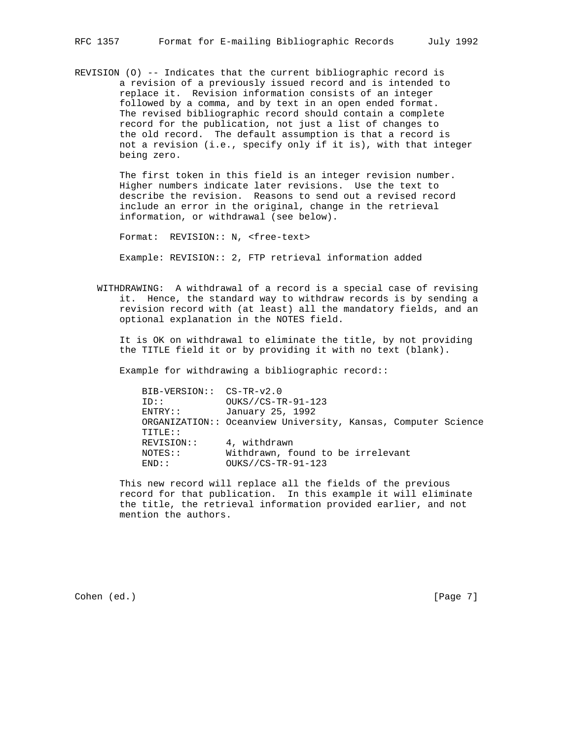REVISION (O) -- Indicates that the current bibliographic record is a revision of a previously issued record and is intended to replace it. Revision information consists of an integer followed by a comma, and by text in an open ended format. The revised bibliographic record should contain a complete record for the publication, not just a list of changes to the old record. The default assumption is that a record is not a revision (i.e., specify only if it is), with that integer being zero.

> The first token in this field is an integer revision number. Higher numbers indicate later revisions. Use the text to describe the revision. Reasons to send out a revised record include an error in the original, change in the retrieval information, or withdrawal (see below).

Format: REVISION:: N, <free-text>

Example: REVISION:: 2, FTP retrieval information added

 WITHDRAWING: A withdrawal of a record is a special case of revising it. Hence, the standard way to withdraw records is by sending a revision record with (at least) all the mandatory fields, and an optional explanation in the NOTES field.

 It is OK on withdrawal to eliminate the title, by not providing the TITLE field it or by providing it with no text (blank).

Example for withdrawing a bibliographic record::

 BIB-VERSION:: CS-TR-v2.0 ID:: OUKS//CS-TR-91-123 ENTRY:: January 25, 1992 ORGANIZATION:: Oceanview University, Kansas, Computer Science TITLE:: REVISION:: 4, withdrawn<br>NOTES:: Withdrawn, fo Withdrawn, found to be irrelevant END:: OUKS//CS-TR-91-123

> This new record will replace all the fields of the previous record for that publication. In this example it will eliminate the title, the retrieval information provided earlier, and not mention the authors.

Cohen (ed.) [Page 7]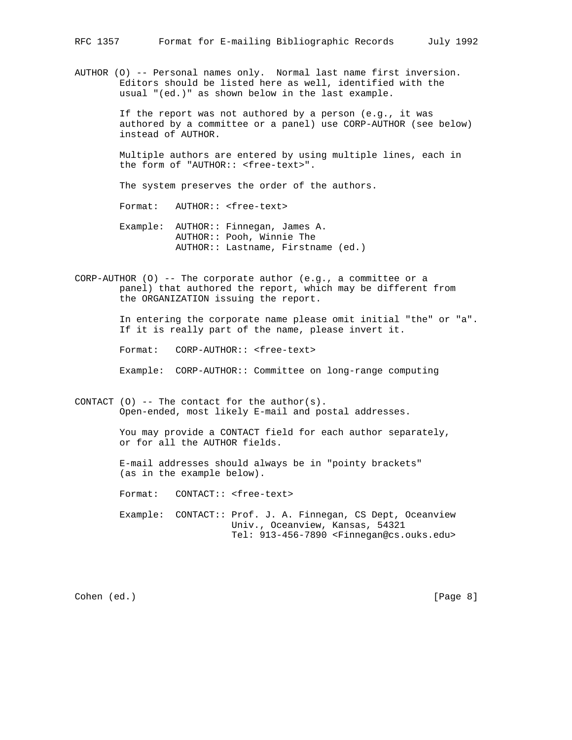AUTHOR (O) -- Personal names only. Normal last name first inversion. Editors should be listed here as well, identified with the usual "(ed.)" as shown below in the last example.

> If the report was not authored by a person (e.g., it was authored by a committee or a panel) use CORP-AUTHOR (see below) instead of AUTHOR.

 Multiple authors are entered by using multiple lines, each in the form of "AUTHOR:: <free-text>".

The system preserves the order of the authors.

Format: AUTHOR:: <free-text>

- Example: AUTHOR:: Finnegan, James A. AUTHOR:: Pooh, Winnie The AUTHOR:: Lastname, Firstname (ed.)
- CORP-AUTHOR (O) -- The corporate author (e.g., a committee or a panel) that authored the report, which may be different from the ORGANIZATION issuing the report.

 In entering the corporate name please omit initial "the" or "a". If it is really part of the name, please invert it.

Format: CORP-AUTHOR:: <free-text>

Example: CORP-AUTHOR:: Committee on long-range computing

CONTACT  $(0)$  -- The contact for the author $(s)$ . Open-ended, most likely E-mail and postal addresses.

> You may provide a CONTACT field for each author separately, or for all the AUTHOR fields.

 E-mail addresses should always be in "pointy brackets" (as in the example below).

Format: CONTACT:: <free-text>

 Example: CONTACT:: Prof. J. A. Finnegan, CS Dept, Oceanview Univ., Oceanview, Kansas, 54321 Tel: 913-456-7890 <Finnegan@cs.ouks.edu>

Cohen (ed.) [Page 8]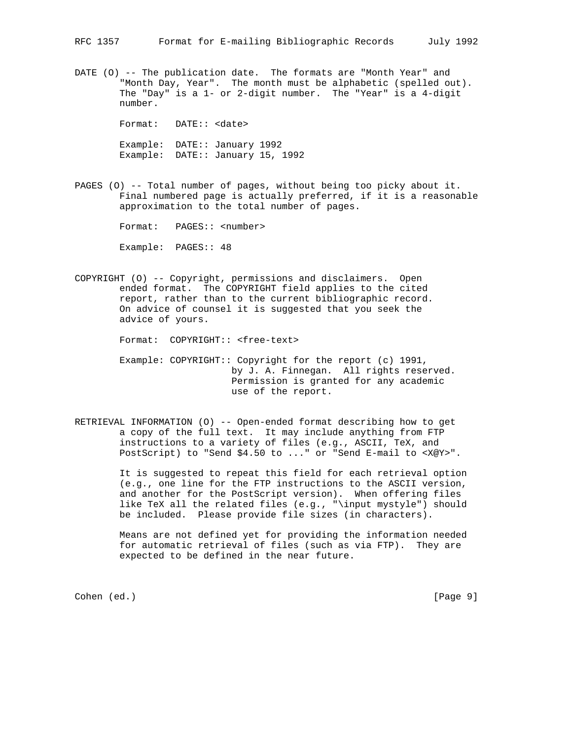DATE (O) -- The publication date. The formats are "Month Year" and "Month Day, Year". The month must be alphabetic (spelled out). The "Day" is a 1- or 2-digit number. The "Year" is a 4-digit number.

> Format: DATE:: <date> Example: DATE:: January 1992 Example: DATE:: January 15, 1992

PAGES (O) -- Total number of pages, without being too picky about it. Final numbered page is actually preferred, if it is a reasonable approximation to the total number of pages.

Format: PAGES:: <number>

Example: PAGES:: 48

COPYRIGHT (O) -- Copyright, permissions and disclaimers. Open ended format. The COPYRIGHT field applies to the cited report, rather than to the current bibliographic record. On advice of counsel it is suggested that you seek the advice of yours.

Format: COPYRIGHT:: <free-text>

- Example: COPYRIGHT:: Copyright for the report (c) 1991, by J. A. Finnegan. All rights reserved. Permission is granted for any academic use of the report.
- RETRIEVAL INFORMATION (O) -- Open-ended format describing how to get a copy of the full text. It may include anything from FTP instructions to a variety of files (e.g., ASCII, TeX, and PostScript) to "Send \$4.50 to ..." or "Send E-mail to <X@Y>".

 It is suggested to repeat this field for each retrieval option (e.g., one line for the FTP instructions to the ASCII version, and another for the PostScript version). When offering files like TeX all the related files (e.g., "\input mystyle") should be included. Please provide file sizes (in characters).

 Means are not defined yet for providing the information needed for automatic retrieval of files (such as via FTP). They are expected to be defined in the near future.

Cohen (ed.) [Page 9]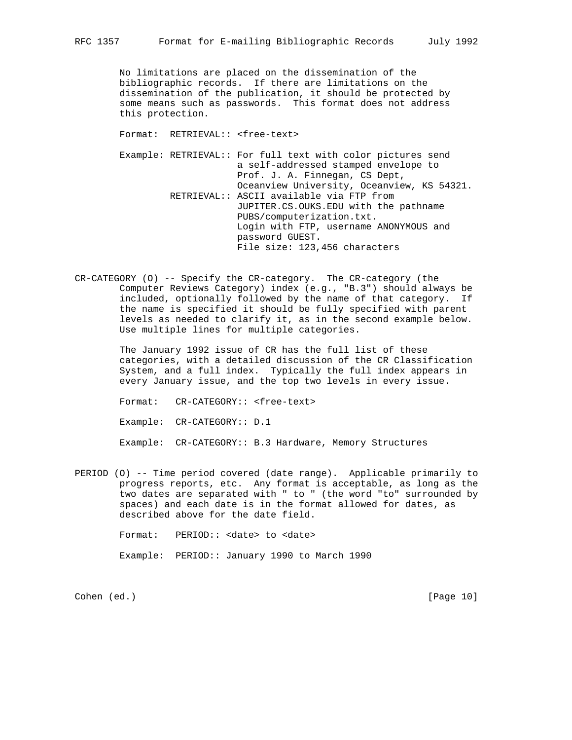No limitations are placed on the dissemination of the bibliographic records. If there are limitations on the dissemination of the publication, it should be protected by some means such as passwords. This format does not address this protection.

Format: RETRIEVAL:: <free-text>

 Example: RETRIEVAL:: For full text with color pictures send a self-addressed stamped envelope to Prof. J. A. Finnegan, CS Dept, Oceanview University, Oceanview, KS 54321. RETRIEVAL:: ASCII available via FTP from JUPITER.CS.OUKS.EDU with the pathname PUBS/computerization.txt. Login with FTP, username ANONYMOUS and password GUEST. File size: 123,456 characters

CR-CATEGORY (O) -- Specify the CR-category. The CR-category (the Computer Reviews Category) index (e.g., "B.3") should always be included, optionally followed by the name of that category. If the name is specified it should be fully specified with parent levels as needed to clarify it, as in the second example below. Use multiple lines for multiple categories.

> The January 1992 issue of CR has the full list of these categories, with a detailed discussion of the CR Classification System, and a full index. Typically the full index appears in every January issue, and the top two levels in every issue.

Format: CR-CATEGORY:: <free-text>

Example: CR-CATEGORY:: D.1

Example: CR-CATEGORY:: B.3 Hardware, Memory Structures

PERIOD (O) -- Time period covered (date range). Applicable primarily to progress reports, etc. Any format is acceptable, as long as the two dates are separated with " to " (the word "to" surrounded by spaces) and each date is in the format allowed for dates, as described above for the date field.

Format: PERIOD:: <date> to <date>

Example: PERIOD:: January 1990 to March 1990

Cohen (ed.) [Page 10]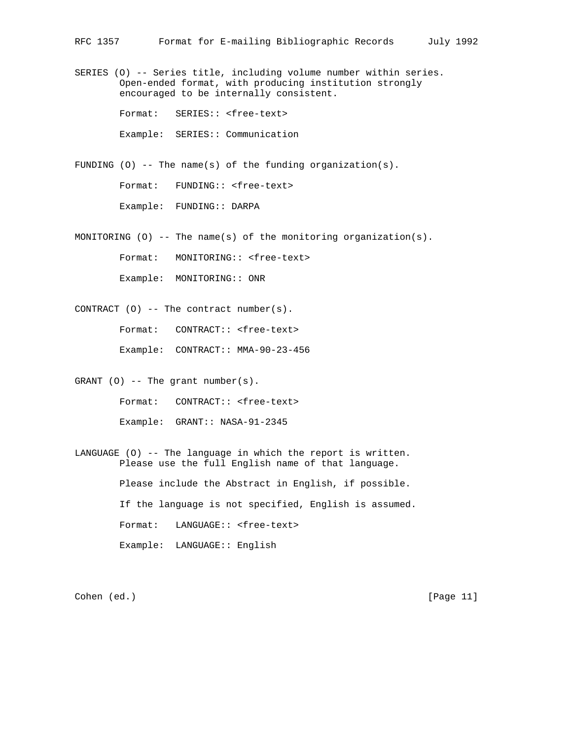SERIES (O) -- Series title, including volume number within series. Open-ended format, with producing institution strongly encouraged to be internally consistent.

Format: SERIES:: <free-text>

Example: SERIES:: Communication

FUNDING (0) -- The name(s) of the funding organization(s).

Format: FUNDING:: <free-text>

Example: FUNDING:: DARPA

MONITORING (O) -- The name(s) of the monitoring organization(s).

Format: MONITORING:: <free-text>

Example: MONITORING:: ONR

CONTRACT  $(0)$  -- The contract number(s).

Format: CONTRACT:: <free-text>

Example: CONTRACT:: MMA-90-23-456

GRANT  $(0)$  -- The grant number(s).

Format: CONTRACT:: <free-text>

Example: GRANT:: NASA-91-2345

LANGUAGE (O) -- The language in which the report is written. Please use the full English name of that language.

Please include the Abstract in English, if possible.

If the language is not specified, English is assumed.

Format: LANGUAGE:: <free-text>

Example: LANGUAGE:: English

Cohen (ed.) [Page 11]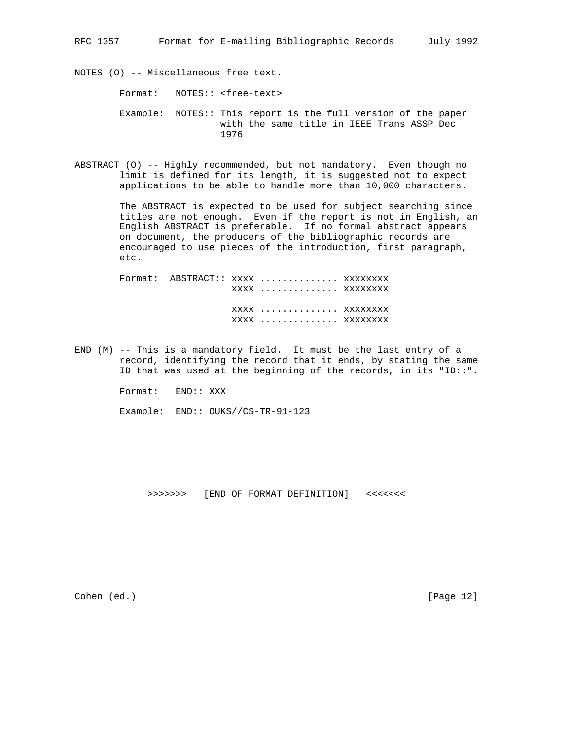NOTES (O) -- Miscellaneous free text.

Format: NOTES:: <free-text>

- Example: NOTES:: This report is the full version of the paper with the same title in IEEE Trans ASSP Dec 1976
- ABSTRACT (O) -- Highly recommended, but not mandatory. Even though no limit is defined for its length, it is suggested not to expect applications to be able to handle more than 10,000 characters.

 The ABSTRACT is expected to be used for subject searching since titles are not enough. Even if the report is not in English, an English ABSTRACT is preferable. If no formal abstract appears on document, the producers of the bibliographic records are encouraged to use pieces of the introduction, first paragraph, etc.

Format: ABSTRACT:: xxxx .............. xxxxxxxx xxxx .............. xxxxxxxx xxxx .............. xxxxxxxx xxxx .............. xxxxxxxx

END (M) -- This is a mandatory field. It must be the last entry of a record, identifying the record that it ends, by stating the same ID that was used at the beginning of the records, in its "ID::".

Format: END:: XXX

Example: END:: OUKS//CS-TR-91-123

>>>>>>> [END OF FORMAT DEFINITION] <<<<<<<

Cohen (ed.) [Page 12]